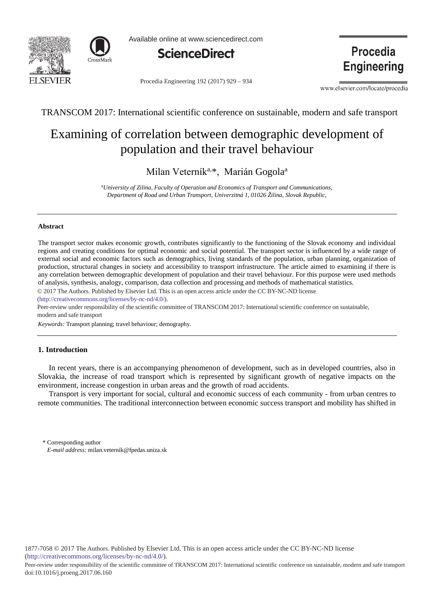



Available online at www.sciencedirect.com



Procedia Engineering 192 (2017) 929 - 934

**Procedia Engineering** 

www.elsevier.com/locate/procedia

TRANSCOM 2017: International scientific conference on sustainable, modern and safe transport

# Examining of correlation between demographic development of population and their travel behaviour

Milan Veterník<sup>a,\*</sup>, Marián Gogola<sup>a</sup>

*a University of Zilina, Faculty of Operation and Economics of Transport and Communications, Department of Road and Urban Transport, Univerzitná 1, 01026 Žilina, Slovak Republic,* 

## **Abstract**

The transport sector makes economic growth, contributes significantly to the functioning of the Slovak economy and individual regions and creating conditions for optimal economic and social potential. The transport sector is influenced by a wide range of external social and economic factors such as demographics, living standards of the population, urban planning, organization of production, structural changes in society and accessibility to transport infrastructure. The article aimed to examining if there is any correlation between demographic development of population and their travel behaviour. For this purpose were used methods of analysis, synthesis, analogy, comparison, data collection and processing and methods of mathematical statistics.

© 2017 The Authors. Published by Elsevier Ltd. © 2017 The Authors. Published by Elsevier Ltd. This is an open access article under the CC BY-NC-ND license

(http://creativecommons.org/licenses/by-nc-nd/4.0/).

Peer-review under responsibility of the scientific committee of TRANSCOM 2017: International scientific conference on sustainable, modern and safe transport

*Keywords:* Transport planning; travel behaviour; demography.

## **1. Introduction**

In recent years, there is an accompanying phenomenon of development, such as in developed countries, also in Slovakia, the increase of road transport which is represented by significant growth of negative impacts on the environment, increase congestion in urban areas and the growth of road accidents.

Transport is very important for social, cultural and economic success of each community - from urban centres to remote communities. The traditional interconnection between economic success transport and mobility has shifted in

\* Corresponding author *E-mail address:* milan.veternik@fpedas.uniza.sk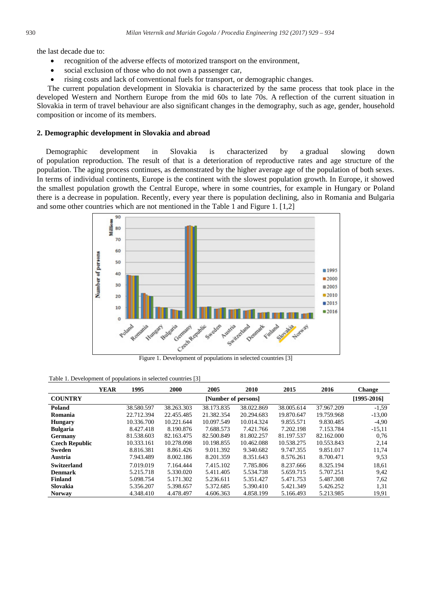the last decade due to:

- recognition of the adverse effects of motorized transport on the environment,
- social exclusion of those who do not own a passenger car,
- rising costs and lack of conventional fuels for transport, or demographic changes.

The current population development in Slovakia is characterized by the same process that took place in the developed Western and Northern Europe from the mid 60s to late 70s. A reflection of the current situation in Slovakia in term of travel behaviour are also significant changes in the demography, such as age, gender, household composition or income of its members.

## **2. Demographic development in Slovakia and abroad**

Demographic development in Slovakia is characterized by a gradual slowing down of population reproduction. The result of that is a deterioration of reproductive rates and age structure of the population. The aging process continues, as demonstrated by the higher average age of the population of both sexes. In terms of individual continents, Europe is the continent with the slowest population growth. In Europe, it showed the smallest population growth the Central Europe, where in some countries, for example in Hungary or Poland there is a decrease in population. Recently, every year there is population declining, also in Romania and Bulgaria and some other countries which are not mentioned in the Table 1 and Figure 1. [1,2]



#### Table 1. Development of populations in selected countries [3]

|                       | <b>YEAR</b> | 1995                | 2000       | 2005       | 2010       | 2015       | 2016        | <b>Change</b> |
|-----------------------|-------------|---------------------|------------|------------|------------|------------|-------------|---------------|
| <b>COUNTRY</b>        |             | [Number of persons] |            |            |            |            | [1995-2016] |               |
| Poland                |             | 38.580.597          | 38.263.303 | 38.173.835 | 38.022.869 | 38.005.614 | 37.967.209  | $-1,59$       |
| Romania               |             | 22.712.394          | 22.455.485 | 21.382.354 | 20.294.683 | 19.870.647 | 19.759.968  | $-13.00$      |
| <b>Hungary</b>        |             | 10.336.700          | 10.221.644 | 10.097.549 | 10.014.324 | 9.855.571  | 9.830.485   | $-4,90$       |
| <b>Bulgaria</b>       |             | 8.427.418           | 8.190.876  | 7.688.573  | 7.421.766  | 7.202.198  | 7.153.784   | $-15,11$      |
| Germany               |             | 81.538.603          | 82.163.475 | 82.500.849 | 81.802.257 | 81.197.537 | 82.162.000  | 0.76          |
| <b>Czech Republic</b> |             | 10.333.161          | 10.278.098 | 10.198.855 | 10.462.088 | 10.538.275 | 10.553.843  | 2,14          |
| Sweden                |             | 8.816.381           | 8.861.426  | 9.011.392  | 9.340.682  | 9.747.355  | 9.851.017   | 11.74         |
| Austria               |             | 7.943.489           | 8.002.186  | 8.201.359  | 8.351.643  | 8.576.261  | 8.700.471   | 9.53          |
| <b>Switzerland</b>    |             | 7.019.019           | 7.164.444  | 7.415.102  | 7.785.806  | 8.237.666  | 8.325.194   | 18.61         |
| <b>Denmark</b>        |             | 5.215.718           | 5.330.020  | 5.411.405  | 5.534.738  | 5.659.715  | 5.707.251   | 9,42          |
| Finland               |             | 5.098.754           | 5.171.302  | 5.236.611  | 5.351.427  | 5.471.753  | 5.487.308   | 7.62          |
| Slovakia              |             | 5.356.207           | 5.398.657  | 5.372.685  | 5.390.410  | 5.421.349  | 5.426.252   | 1,31          |
| <b>Norway</b>         |             | 4.348.410           | 4.478.497  | 4.606.363  | 4.858.199  | 5.166.493  | 5.213.985   | 19,91         |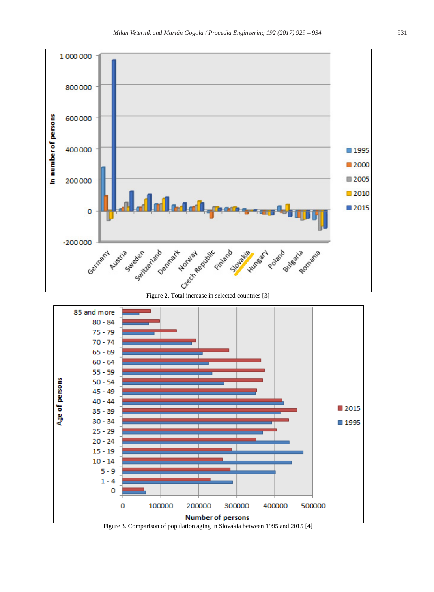



Figure 3. Comparison of population aging in Slovakia between 1995 and 2015 [4]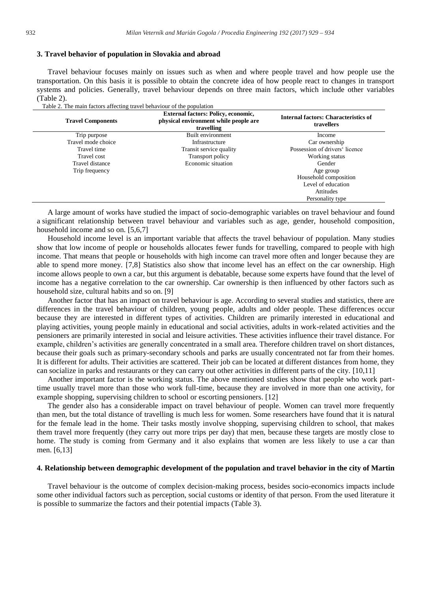## **3. Travel behavior of population in Slovakia and abroad**

Travel behaviour focuses mainly on issues such as when and where people travel and how people use the transportation. On this basis it is possible to obtain the concrete idea of how people react to changes in transport systems and policies. Generally, travel behaviour depends on three main factors, which include other variables (Table 2).

Table 2. The main factors affecting travel behaviour of the population

| <b>Travel Components</b> | <b>External factors: Policy, economic,</b><br>physical environment while people are<br>travelling | <b>Internal factors: Characteristics of</b><br>travellers |
|--------------------------|---------------------------------------------------------------------------------------------------|-----------------------------------------------------------|
| Trip purpose             | Built environment                                                                                 | Income                                                    |
| Travel mode choice       | Infrastructure                                                                                    | Car ownership                                             |
| Travel time              | Transit service quality                                                                           | Possession of drivers' licence                            |
| Travel cost              | <b>Transport policy</b>                                                                           | Working status                                            |
| Travel distance          | Economic situation                                                                                | Gender                                                    |
| Trip frequency           |                                                                                                   | Age group                                                 |
|                          |                                                                                                   | Household composition                                     |
|                          |                                                                                                   | Level of education                                        |
|                          |                                                                                                   | Attitudes                                                 |
|                          |                                                                                                   | Personality type                                          |

A large amount of works have studied the impact of socio-demographic variables on travel behaviour and found a significant relationship between travel behaviour and variables such as age, gender, household composition, household income and so on. [5,6,7]

Household income level is an important variable that affects the travel behaviour of population. Many studies show that low income of people or households allocates fewer funds for travelling, compared to people with high income. That means that people or households with high income can travel more often and longer because they are able to spend more money. [7,8] Statistics also show that income level has an effect on the car ownership. High income allows people to own a car, but this argument is debatable, because some experts have found that the level of income has a negative correlation to the car ownership. Car ownership is then influenced by other factors such as household size, cultural habits and so on. [9]

Another factor that has an impact on travel behaviour is age. According to several studies and statistics, there are differences in the travel behaviour of children, young people, adults and older people. These differences occur because they are interested in different types of activities. Children are primarily interested in educational and playing activities, young people mainly in educational and social activities, adults in work-related activities and the pensioners are primarily interested in social and leisure activities. These activities influence their travel distance. For example, children's activities are generally concentrated in a small area. Therefore children travel on short distances, because their goals such as primary-secondary schools and parks are usually concentrated not far from their homes. It is different for adults. Their activities are scattered. Their job can be located at different distances from home, they can socialize in parks and restaurants or they can carry out other activities in different parts of the city. [10,11]

Another important factor is the working status. The above mentioned studies show that people who work parttime usually travel more than those who work full-time, because they are involved in more than one activity, for example shopping, supervising children to school or escorting pensioners. [12]

The gender also has a considerable impact on travel behaviour of people. Women can travel more frequently than men, but the total distance of travelling is much less for women. Some researchers have found that it is natural for the female lead in the home. Their tasks mostly involve shopping, supervising children to school, that makes them travel more frequently (they carry out more trips per day) that men, because these targets are mostly close to home. The study is coming from Germany and it also explains that women are less likely to use a car than men. [6,13]

## **4. Relationship between demographic development of the population and travel behavior in the city of Martin**

Travel behaviour is the outcome of complex decision-making process, besides socio-economics impacts include some other individual factors such as perception, social customs or identity of that person. From the used literature it is possible to summarize the factors and their potential impacts (Table 3).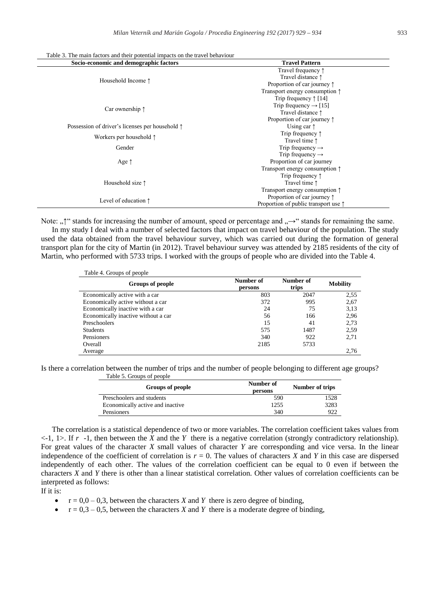| Table 3. The main factors and their potential impacts on the travel behaviour |  |
|-------------------------------------------------------------------------------|--|
|-------------------------------------------------------------------------------|--|

| Socio-economic and demographic factors                   | <b>Travel Pattern</b>                         |  |  |
|----------------------------------------------------------|-----------------------------------------------|--|--|
|                                                          | Travel frequency $\uparrow$                   |  |  |
| Household Income 1                                       | Travel distance $\uparrow$                    |  |  |
|                                                          | Proportion of car journey $\uparrow$          |  |  |
|                                                          | Transport energy consumption $\uparrow$       |  |  |
|                                                          | Trip frequency $\uparrow$ [14]                |  |  |
| Car ownership $\uparrow$                                 | Trip frequency $\rightarrow$ [15]             |  |  |
|                                                          | Travel distance 1                             |  |  |
|                                                          | Proportion of car journey $\uparrow$          |  |  |
| Possession of driver's licenses per household $\uparrow$ | Using car $\uparrow$                          |  |  |
|                                                          | Trip frequency $\uparrow$                     |  |  |
| Workers per household $\uparrow$                         | Travel time $\uparrow$                        |  |  |
| Gender                                                   | Trip frequency $\rightarrow$                  |  |  |
|                                                          | Trip frequency $\rightarrow$                  |  |  |
| Age $\uparrow$                                           | Proportion of car journey                     |  |  |
|                                                          | Transport energy consumption $\uparrow$       |  |  |
|                                                          | Trip frequency $\uparrow$                     |  |  |
| Household size $\uparrow$                                | Travel time 1                                 |  |  |
|                                                          | Transport energy consumption $\uparrow$       |  |  |
| Level of education $\uparrow$                            | Proportion of car journey $\uparrow$          |  |  |
|                                                          | Proportion of public transport use $\uparrow$ |  |  |

Note: ", "" stands for increasing the number of amount, speed or percentage and " $\rightarrow$ " stands for remaining the same.

In my study I deal with a number of selected factors that impact on travel behaviour of the population. The study used the data obtained from the travel behaviour survey, which was carried out during the formation of general transport plan for the city of Martin (in 2012). Travel behaviour survey was attended by 2185 residents of the city of Martin, who performed with 5733 trips. I worked with the groups of people who are divided into the Table 4.

| Table 4. Groups of people           |                      |                    |                 |
|-------------------------------------|----------------------|--------------------|-----------------|
| Groups of people                    | Number of<br>persons | Number of<br>trips | <b>Mobility</b> |
| Economically active with a car      | 803                  | 2047               | 2.55            |
| Economically active without a car   | 372                  | 995                | 2,67            |
| Economically inactive with a car    | 24                   | 75                 | 3,13            |
| Economically inactive without a car | 56                   | 166                | 2,96            |
| Preschoolers                        | 15                   | 41                 | 2,73            |
| <b>Students</b>                     | 575                  | 1487               | 2.59            |
| Pensioners                          | 340                  | 922                | 2,71            |
| Overall                             | 2185                 | 5733               |                 |
| Average                             |                      |                    | 2.76            |

Is there a correlation between the number of trips and the number of people belonging to different age groups? Table 5. Groups of people

| Groups of people                 | Number of<br>persons | Number of trips |
|----------------------------------|----------------------|-----------------|
| Preschoolers and students        | 590                  | 1528            |
| Economically active and inactive | 1255                 | 3283            |
| Pensioners                       | 340                  | 922             |

The correlation is a statistical dependence of two or more variables. The correlation coefficient takes values from  $\lt$ -1, 1>. If  $r$  -1, then between the *X* and the *Y* there is a negative correlation (strongly contradictory relationship). For great values of the character *X* small values of character *Y* are corresponding and vice versa. In the linear independence of the coefficient of correlation is  $r = 0$ . The values of characters *X* and *Y* in this case are dispersed independently of each other. The values of the correlation coefficient can be equal to 0 even if between the characters *X* and *Y* there is other than a linear statistical correlation. Other values of correlation coefficients can be interpreted as follows:

If it is:

- $r = 0.0 0.3$ , between the characters *X* and *Y* there is zero degree of binding,
- $\bullet$   $r = 0.3 0.5$ , between the characters *X* and *Y* there is a moderate degree of binding,